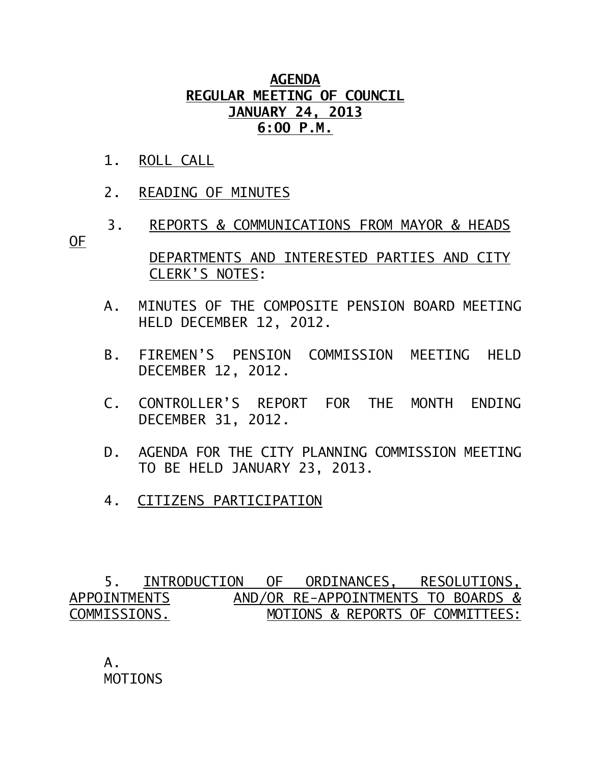## **AGENDA REGULAR MEETING OF COUNCIL JANUARY 24, 2013 6:00 P.M.**

- 1. ROLL CALL
- 2. READING OF MINUTES
- 3. REPORTS & COMMUNICATIONS FROM MAYOR & HEADS OF
	- DEPARTMENTS AND INTERESTED PARTIES AND CITY CLERK'S NOTES:
	- A. MINUTES OF THE COMPOSITE PENSION BOARD MEETING HELD DECEMBER 12, 2012.
	- B. FIREMEN'S PENSION COMMISSION MEETING HELD DECEMBER 12, 2012.
	- C. CONTROLLER'S REPORT FOR THE MONTH ENDING DECEMBER 31, 2012.
	- D. AGENDA FOR THE CITY PLANNING COMMISSION MEETING TO BE HELD JANUARY 23, 2013.
	- 4. CITIZENS PARTICIPATION

 5. INTRODUCTION OF ORDINANCES, RESOLUTIONS, APPOINTMENTS AND/OR RE-APPOINTMENTS TO BOARDS & COMMISSIONS. MOTIONS & REPORTS OF COMMITTEES:

 A. MOTIONS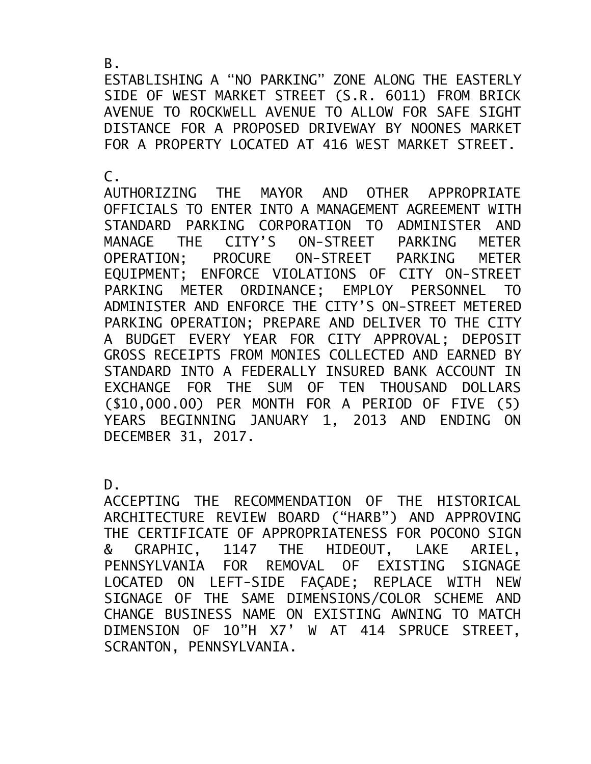ESTABLISHING A "NO PARKING" ZONE ALONG THE EASTERLY SIDE OF WEST MARKET STREET (S.R. 6011) FROM BRICK AVENUE TO ROCKWELL AVENUE TO ALLOW FOR SAFE SIGHT DISTANCE FOR A PROPOSED DRIVEWAY BY NOONES MARKET FOR A PROPERTY LOCATED AT 416 WEST MARKET STREET.

 $\mathsf{C}$ .

AUTHORIZING THE MAYOR AND OTHER APPROPRIATE OFFICIALS TO ENTER INTO A MANAGEMENT AGREEMENT WITH STANDARD PARKING CORPORATION TO ADMINISTER AND MANAGE THE CITY'S ON-STREET PARKING METER OPERATION; PROCURE ON-STREET PARKING METER EQUIPMENT; ENFORCE VIOLATIONS OF CITY ON-STREET PARKING METER ORDINANCE; EMPLOY PERSONNEL TO ADMINISTER AND ENFORCE THE CITY'S ON-STREET METERED PARKING OPERATION; PREPARE AND DELIVER TO THE CITY A BUDGET EVERY YEAR FOR CITY APPROVAL; DEPOSIT GROSS RECEIPTS FROM MONIES COLLECTED AND EARNED BY STANDARD INTO A FEDERALLY INSURED BANK ACCOUNT IN EXCHANGE FOR THE SUM OF TEN THOUSAND DOLLARS (\$10,000.00) PER MONTH FOR A PERIOD OF FIVE (5) YEARS BEGINNING JANUARY 1, 2013 AND ENDING ON DECEMBER 31, 2017.

D.

ACCEPTING THE RECOMMENDATION OF THE HISTORICAL ARCHITECTURE REVIEW BOARD ("HARB") AND APPROVING THE CERTIFICATE OF APPROPRIATENESS FOR POCONO SIGN & GRAPHIC, 1147 THE HIDEOUT, LAKE ARIEL, PENNSYLVANIA FOR REMOVAL OF EXISTING SIGNAGE LOCATED ON LEFT-SIDE FAÇADE; REPLACE WITH NEW SIGNAGE OF THE SAME DIMENSIONS/COLOR SCHEME AND CHANGE BUSINESS NAME ON EXISTING AWNING TO MATCH DIMENSION OF 10"H X7' W AT 414 SPRUCE STREET, SCRANTON, PENNSYLVANIA.

B.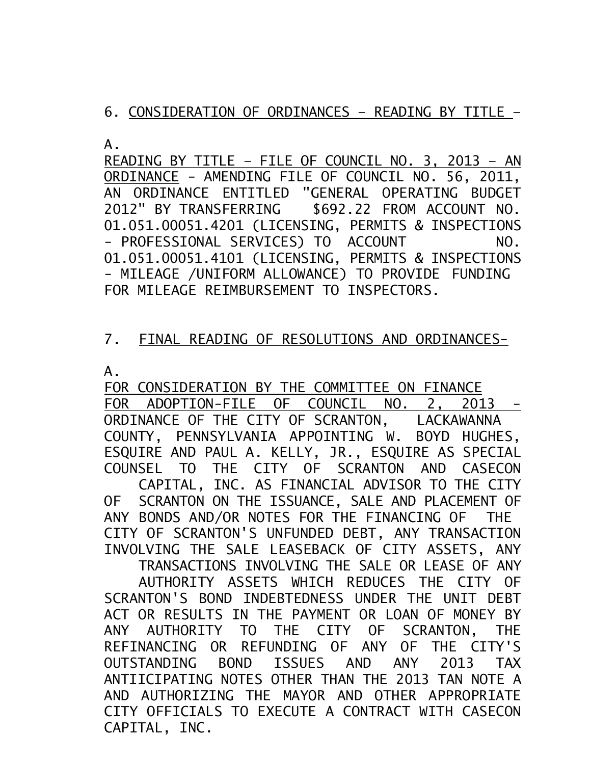6. CONSIDERATION OF ORDINANCES – READING BY TITLE –

 $A<sub>-</sub>$ 

READING BY TITLE – FILE OF COUNCIL NO. 3, 2013 – AN ORDINANCE - AMENDING FILE OF COUNCIL NO. 56, 2011, AN ORDINANCE ENTITLED "GENERAL OPERATING BUDGET 2012" BY TRANSFERRING \$692.22 FROM ACCOUNT NO. 01.051.00051.4201 (LICENSING, PERMITS & INSPECTIONS - PROFESSIONAL SERVICES) TO ACCOUNT NO. 01.051.00051.4101 (LICENSING, PERMITS & INSPECTIONS - MILEAGE /UNIFORM ALLOWANCE) TO PROVIDE FUNDING FOR MILEAGE REIMBURSEMENT TO INSPECTORS.

## 7. FINAL READING OF RESOLUTIONS AND ORDINANCES-

A.

FOR CONSIDERATION BY THE COMMITTEE ON FINANCE FOR ADOPTION-FILE OF COUNCIL NO. 2, 2013 - ORDINANCE OF THE CITY OF SCRANTON, LACKAWANNA COUNTY, PENNSYLVANIA APPOINTING W. BOYD HUGHES, ESQUIRE AND PAUL A. KELLY, JR., ESQUIRE AS SPECIAL COUNSEL TO THE CITY OF SCRANTON AND CASECON CAPITAL, INC. AS FINANCIAL ADVISOR TO THE CITY OF SCRANTON ON THE ISSUANCE, SALE AND PLACEMENT OF ANY BONDS AND/OR NOTES FOR THE FINANCING OF THE CITY OF SCRANTON'S UNFUNDED DEBT, ANY TRANSACTION INVOLVING THE SALE LEASEBACK OF CITY ASSETS, ANY TRANSACTIONS INVOLVING THE SALE OR LEASE OF ANY AUTHORITY ASSETS WHICH REDUCES THE CITY OF SCRANTON'S BOND INDEBTEDNESS UNDER THE UNIT DEBT

ACT OR RESULTS IN THE PAYMENT OR LOAN OF MONEY BY ANY AUTHORITY TO THE CITY OF SCRANTON, THE REFINANCING OR REFUNDING OF ANY OF THE CITY'S OUTSTANDING BOND ISSUES AND ANY 2013 TAX ANTIICIPATING NOTES OTHER THAN THE 2013 TAN NOTE A AND AUTHORIZING THE MAYOR AND OTHER APPROPRIATE CITY OFFICIALS TO EXECUTE A CONTRACT WITH CASECON CAPITAL, INC.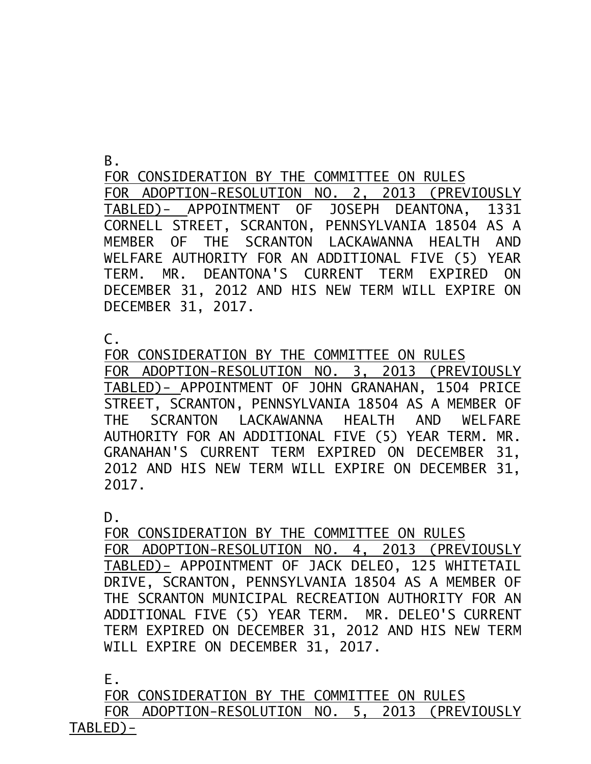B.

FOR CONSIDERATION BY THE COMMITTEE ON RULES FOR ADOPTION-RESOLUTION NO. 2, 2013 (PREVIOUSLY TABLED)- APPOINTMENT OF JOSEPH DEANTONA, 1331 CORNELL STREET, SCRANTON, PENNSYLVANIA 18504 AS A MEMBER OF THE SCRANTON LACKAWANNA HEALTH AND WELFARE AUTHORITY FOR AN ADDITIONAL FIVE (5) YEAR TERM. MR. DEANTONA'S CURRENT TERM EXPIRED ON DECEMBER 31, 2012 AND HIS NEW TERM WILL EXPIRE ON DECEMBER 31, 2017.

 $\mathsf{C}$ .

FOR CONSIDERATION BY THE COMMITTEE ON RULES FOR ADOPTION-RESOLUTION NO. 3, 2013 (PREVIOUSLY TABLED)- APPOINTMENT OF JOHN GRANAHAN, 1504 PRICE STREET, SCRANTON, PENNSYLVANIA 18504 AS A MEMBER OF THE SCRANTON LACKAWANNA HEALTH AND WELFARE AUTHORITY FOR AN ADDITIONAL FIVE (5) YEAR TERM. MR. GRANAHAN'S CURRENT TERM EXPIRED ON DECEMBER 31, 2012 AND HIS NEW TERM WILL EXPIRE ON DECEMBER 31, 2017.

D.

FOR CONSIDERATION BY THE COMMITTEE ON RULES FOR ADOPTION-RESOLUTION NO. 4, 2013 (PREVIOUSLY TABLED)- APPOINTMENT OF JACK DELEO, 125 WHITETAIL DRIVE, SCRANTON, PENNSYLVANIA 18504 AS A MEMBER OF THE SCRANTON MUNICIPAL RECREATION AUTHORITY FOR AN ADDITIONAL FIVE (5) YEAR TERM. MR. DELEO'S CURRENT TERM EXPIRED ON DECEMBER 31, 2012 AND HIS NEW TERM WILL EXPIRE ON DECEMBER 31, 2017.

E.

FOR CONSIDERATION BY THE COMMITTEE ON RULES FOR ADOPTION-RESOLUTION NO. 5, 2013 (PREVIOUSLY TABLED)-